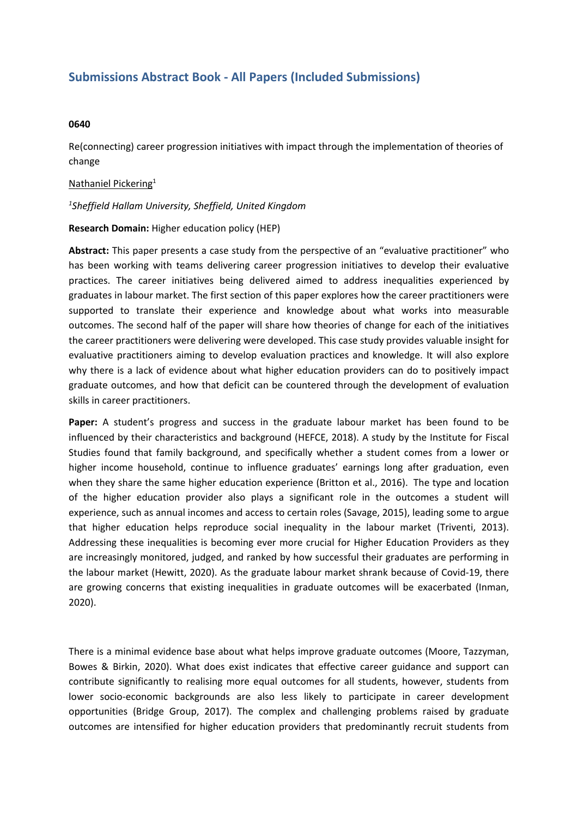# **Submissions Abstract Book - All Papers (Included Submissions)**

### **0640**

Re(connecting) career progression initiatives with impact through the implementation of theories of change

## Nathaniel Pickering 1

## *1 Sheffield Hallam University, Sheffield, United Kingdom*

#### **Research Domain:** Higher education policy (HEP)

**Abstract:** This paper presents <sup>a</sup> case study from the perspective of an "evaluative practitioner" who has been working with teams delivering career progression initiatives to develop their evaluative practices. The career initiatives being delivered aimed to address inequalities experienced by graduates in labour market. The first section of this paper explores how the career practitioners were supported to translate their experience and knowledge about what works into measurable outcomes. The second half of the paper will share how theories of change for each of the initiatives the career practitioners were delivering were developed. This case study provides valuable insight for evaluative practitioners aiming to develop evaluation practices and knowledge. It will also explore why there is <sup>a</sup> lack of evidence about what higher education providers can do to positively impact graduate outcomes, and how that deficit can be countered through the development of evaluation skills in career practitioners.

**Paper:** A student's progress and success in the graduate labour market has been found to be influenced by their characteristics and background (HEFCE, 2018). A study by the Institute for Fiscal Studies found that family background, and specifically whether <sup>a</sup> student comes from <sup>a</sup> lower or higher income household, continue to influence graduates' earnings long after graduation, even when they share the same higher education experience (Britton et al., 2016). The type and location of the higher education provider also plays <sup>a</sup> significant role in the outcomes <sup>a</sup> student will experience, such as annual incomes and access to certain roles (Savage, 2015), leading some to argue that higher education helps reproduce social inequality in the labour market (Triventi, 2013). Addressing these inequalities is becoming ever more crucial for Higher Education Providers as they are increasingly monitored, judged, and ranked by how successful their graduates are performing in the labour market (Hewitt, 2020). As the graduate labour market shrank because of Covid-19, there are growing concerns that existing inequalities in graduate outcomes will be exacerbated (Inman, 2020).

There is <sup>a</sup> minimal evidence base about what helps improve graduate outcomes (Moore, Tazzyman, Bowes & Birkin, 2020). What does exist indicates that effective career guidance and support can contribute significantly to realising more equal outcomes for all students, however, students from lower socio-economic backgrounds are also less likely to participate in career development opportunities (Bridge Group, 2017). The complex and challenging problems raised by graduate outcomes are intensified for higher education providers that predominantly recruit students from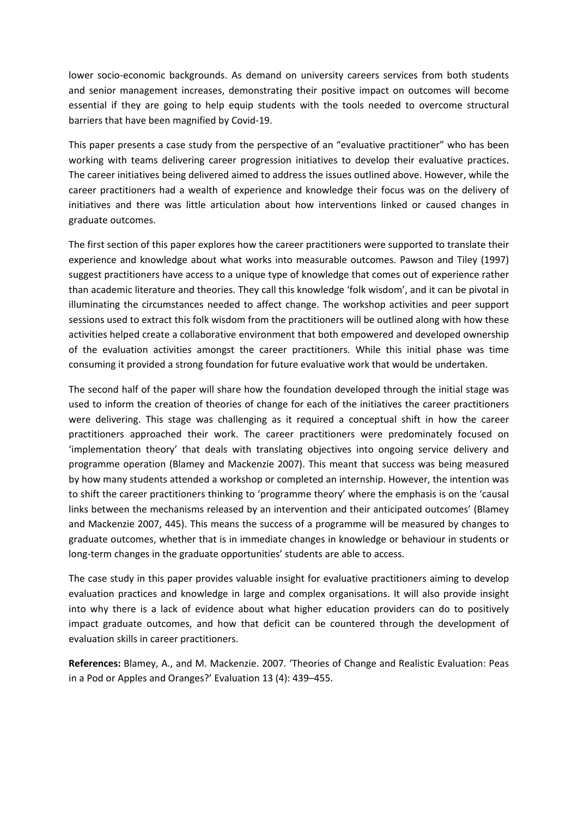lower socio-economic backgrounds. As demand on university careers services from both students and senior management increases, demonstrating their positive impact on outcomes will become essential if they are going to help equip students with the tools needed to overcome structural barriers that have been magnified by Covid-19.

This paper presents <sup>a</sup> case study from the perspective of an "evaluative practitioner" who has been working with teams delivering career progression initiatives to develop their evaluative practices. The career initiatives being delivered aimed to address the issues outlined above. However, while the career practitioners had <sup>a</sup> wealth of experience and knowledge their focus was on the delivery of initiatives and there was little articulation about how interventions linked or caused changes in graduate outcomes.

The first section of this paper explores how the career practitioners were supported to translate their experience and knowledge about what works into measurable outcomes. Pawson and Tiley (1997) suggest practitioners have access to <sup>a</sup> unique type of knowledge that comes out of experience rather than academic literature and theories. They call this knowledge 'folk wisdom', and it can be pivotal in illuminating the circumstances needed to affect change. The workshop activities and peer support sessions used to extract this folk wisdom from the practitioners will be outlined along with how these activities helped create <sup>a</sup> collaborative environment that both empowered and developed ownership of the evaluation activities amongst the career practitioners. While this initial phase was time consuming it provided <sup>a</sup> strong foundation for future evaluative work that would be undertaken.

The second half of the paper will share how the foundation developed through the initial stage was used to inform the creation of theories of change for each of the initiatives the career practitioners were delivering. This stage was challenging as it required <sup>a</sup> conceptual shift in how the career practitioners approached their work. The career practitioners were predominately focused on 'implementation theory' that deals with translating objectives into ongoing service delivery and programme operation (Blamey and Mackenzie 2007). This meant that success was being measured by how many students attended <sup>a</sup> workshop or completed an internship. However, the intention was to shift the career practitioners thinking to 'programme theory' where the emphasis is on the 'causal links between the mechanisms released by an intervention and their anticipated outcomes' (Blamey and Mackenzie 2007, 445). This means the success of <sup>a</sup> programme will be measured by changes to graduate outcomes, whether that is in immediate changes in knowledge or behaviour in students or long-term changes in the graduate opportunities' students are able to access.

The case study in this paper provides valuable insight for evaluative practitioners aiming to develop evaluation practices and knowledge in large and complex organisations. It will also provide insight into why there is <sup>a</sup> lack of evidence about what higher education providers can do to positively impact graduate outcomes, and how that deficit can be countered through the development of evaluation skills in career practitioners.

**References:** Blamey, A., and M. Mackenzie. 2007. 'Theories of Change and Realistic Evaluation: Peas in <sup>a</sup> Pod or Apples and Oranges?' Evaluation 13 (4): 439–455.